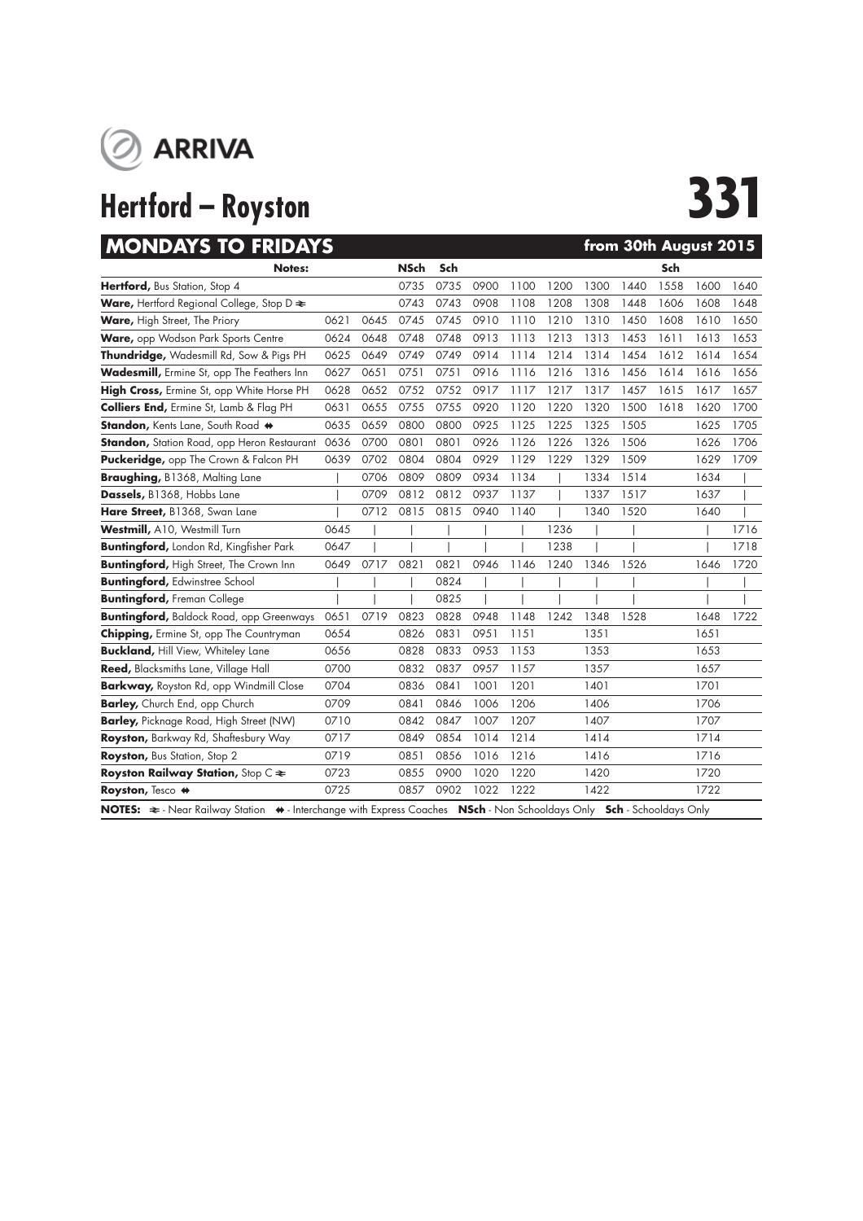

# **Hertford – Royston 331**

| <b>MONDAYS TO FRIDAYS</b>                                                                                                                         |      |      |             |      |      |      |      | from 30th August 2015 |      |      |      |      |
|---------------------------------------------------------------------------------------------------------------------------------------------------|------|------|-------------|------|------|------|------|-----------------------|------|------|------|------|
| <b>Notes:</b>                                                                                                                                     |      |      | <b>NSch</b> | Sch  |      |      |      |                       |      | Sch  |      |      |
| Hertford, Bus Station, Stop 4                                                                                                                     |      |      | 0735        | 0735 | 0900 | 1100 | 1200 | 1300                  | 1440 | 1558 | 1600 | 1640 |
| <b>Ware, Hertford Regional College, Stop D <math>\approx</math></b>                                                                               |      |      | 0743        | 0743 | 0908 | 1108 | 1208 | 1308                  | 1448 | 1606 | 1608 | 1648 |
| Ware, High Street, The Priory                                                                                                                     | 0621 | 0645 | 0745        | 0745 | 0910 | 1110 | 1210 | 1310                  | 1450 | 1608 | 1610 | 1650 |
| Ware, opp Wodson Park Sports Centre                                                                                                               | 0624 | 0648 | 0748        | 0748 | 0913 | 1113 | 1213 | 1313                  | 1453 | 1611 | 1613 | 1653 |
| Thundridge, Wadesmill Rd, Sow & Pigs PH                                                                                                           | 0625 | 0649 | 0749        | 0749 | 0914 | 1114 | 1214 | 1314                  | 1454 | 1612 | 1614 | 1654 |
| Wadesmill, Ermine St, opp The Feathers Inn                                                                                                        | 0627 | 0651 | 0751        | 0751 | 0916 | 1116 | 1216 | 1316                  | 1456 | 1614 | 1616 | 1656 |
| High Cross, Ermine St, opp White Horse PH                                                                                                         | 0628 | 0652 | 0752        | 0752 | 0917 | 1117 | 1217 | 1317                  | 1457 | 1615 | 1617 | 1657 |
| <b>Colliers End, Ermine St, Lamb &amp; Flag PH</b>                                                                                                | 0631 | 0655 | 0755        | 0755 | 0920 | 1120 | 1220 | 1320                  | 1500 | 1618 | 1620 | 1700 |
| Standon, Kents Lane, South Road +                                                                                                                 | 0635 | 0659 | 0800        | 0800 | 0925 | 1125 | 1225 | 1325                  | 1505 |      | 1625 | 1705 |
| <b>Standon, Station Road, opp Heron Restaurant</b>                                                                                                | 0636 | 0700 | 0801        | 0801 | 0926 | 1126 | 1226 | 1326                  | 1506 |      | 1626 | 1706 |
| Puckeridge, opp The Crown & Falcon PH                                                                                                             | 0639 | 0702 | 0804        | 0804 | 0929 | 1129 | 1229 | 1329                  | 1509 |      | 1629 | 1709 |
| Braughing, B1368, Malting Lane                                                                                                                    |      | 0706 | 0809        | 0809 | 0934 | 1134 |      | 1334                  | 1514 |      | 1634 |      |
| Dassels, B1368, Hobbs Lane                                                                                                                        |      | 0709 | 0812        | 0812 | 0937 | 1137 |      | 1337                  | 1517 |      | 1637 |      |
| Hare Street, B1368, Swan Lane                                                                                                                     |      | 0712 | 0815        | 0815 | 0940 | 1140 |      | 1340                  | 1520 |      | 1640 |      |
| Westmill, A10, Westmill Turn                                                                                                                      | 0645 |      |             |      |      |      | 1236 |                       |      |      |      | 1716 |
| <b>Buntingford, London Rd, Kingfisher Park</b>                                                                                                    | 0647 |      |             |      |      |      | 1238 |                       |      |      |      | 1718 |
| <b>Buntingford, High Street, The Crown Inn</b>                                                                                                    | 0649 | 0717 | 0821        | 0821 | 0946 | 1146 | 1240 | 1346                  | 1526 |      | 1646 | 1720 |
| <b>Buntingford, Edwinstree School</b>                                                                                                             |      |      |             | 0824 |      |      |      |                       |      |      |      |      |
| <b>Buntingford, Freman College</b>                                                                                                                |      |      |             | 0825 |      |      |      |                       |      |      |      |      |
| <b>Buntingford, Baldock Road, opp Greenways</b>                                                                                                   | 0651 | 0719 | 0823        | 0828 | 0948 | 1148 | 1242 | 1348                  | 1528 |      | 1648 | 1722 |
| <b>Chipping, Ermine St, opp The Countryman</b>                                                                                                    | 0654 |      | 0826        | 0831 | 0951 | 1151 |      | 1351                  |      |      | 1651 |      |
| <b>Buckland, Hill View, Whiteley Lane</b>                                                                                                         | 0656 |      | 0828        | 0833 | 0953 | 1153 |      | 1353                  |      |      | 1653 |      |
| Reed, Blacksmiths Lane, Village Hall                                                                                                              | 0700 |      | 0832        | 0837 | 0957 | 1157 |      | 1357                  |      |      | 1657 |      |
| <b>Barkway, Royston Rd, opp Windmill Close</b>                                                                                                    | 0704 |      | 0836        | 0841 | 1001 | 1201 |      | 1401                  |      |      | 1701 |      |
| <b>Barley, Church End, opp Church</b>                                                                                                             | 0709 |      | 0841        | 0846 | 1006 | 1206 |      | 1406                  |      |      | 1706 |      |
| <b>Barley, Picknage Road, High Street (NW)</b>                                                                                                    | 0710 |      | 0842        | 0847 | 1007 | 1207 |      | 1407                  |      |      | 1707 |      |
| Royston, Barkway Rd, Shaftesbury Way                                                                                                              | 0717 |      | 0849        | 0854 | 1014 | 1214 |      | 1414                  |      |      | 1714 |      |
| Royston, Bus Station, Stop 2                                                                                                                      | 0719 |      | 0851        | 0856 | 1016 | 1216 |      | 1416                  |      |      | 1716 |      |
| Royston Railway Station, Stop C $\approx$                                                                                                         | 0723 |      | 0855        | 0900 | 1020 | 1220 |      | 1420                  |      |      | 1720 |      |
| Royston, Tesco #                                                                                                                                  | 0725 |      | 0857        | 0902 | 1022 | 1222 |      | 1422                  |      |      | 1722 |      |
| NOTES: $\Rightarrow$ - Near Railway Station $\leftrightarrow$ - Interchange with Express Coaches NSch - Non Schooldays Only Sch - Schooldays Only |      |      |             |      |      |      |      |                       |      |      |      |      |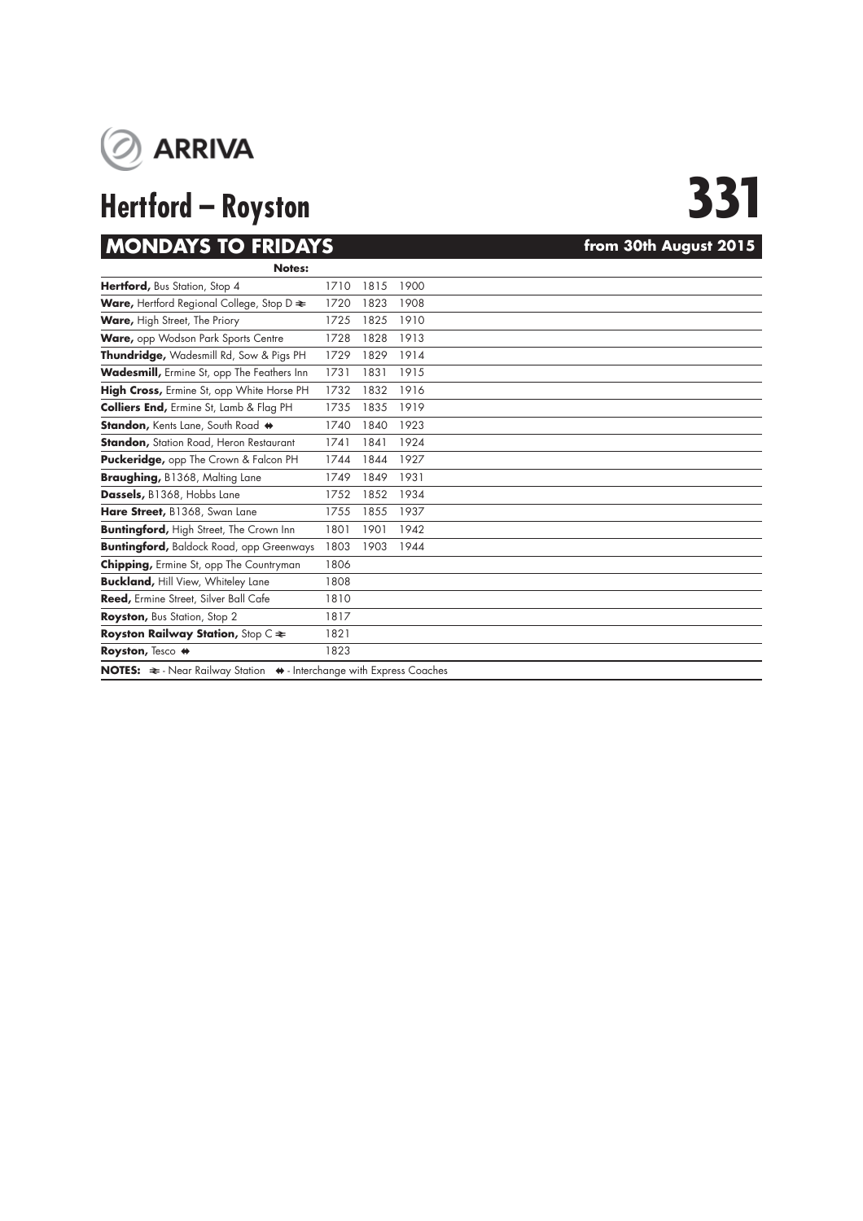

# **Hertford – Royston 331**

# **MONDAYS TO FRIDAYS** *MONDAYS html* **30th August 2015**

| Notes:                                                                                          |      |      |      |  |  |  |
|-------------------------------------------------------------------------------------------------|------|------|------|--|--|--|
| Hertford, Bus Station, Stop 4                                                                   | 1710 | 1815 | 1900 |  |  |  |
| <b>Ware, Hertford Regional College, Stop D <math>\approx</math></b>                             | 1720 | 1823 | 1908 |  |  |  |
| Ware, High Street, The Priory                                                                   | 1725 | 1825 | 1910 |  |  |  |
| Ware, opp Wodson Park Sports Centre                                                             | 1728 | 1828 | 1913 |  |  |  |
| Thundridge, Wadesmill Rd, Sow & Pigs PH                                                         | 1729 | 1829 | 1914 |  |  |  |
| Wadesmill, Ermine St, opp The Feathers Inn                                                      | 1731 | 1831 | 1915 |  |  |  |
| High Cross, Ermine St, opp White Horse PH                                                       | 1732 | 1832 | 1916 |  |  |  |
| <b>Colliers End, Ermine St, Lamb &amp; Flag PH</b>                                              | 1735 | 1835 | 1919 |  |  |  |
| Standon, Kents Lane, South Road +                                                               | 1740 | 1840 | 1923 |  |  |  |
| <b>Standon, Station Road, Heron Restaurant</b>                                                  | 1741 | 1841 | 1924 |  |  |  |
| <b>Puckeridge, opp The Crown &amp; Falcon PH</b>                                                | 1744 | 1844 | 1927 |  |  |  |
| Braughing, B1368, Malting Lane                                                                  | 1749 | 1849 | 1931 |  |  |  |
| Dassels, B1368, Hobbs Lane                                                                      | 1752 | 1852 | 1934 |  |  |  |
| Hare Street, B1368, Swan Lane                                                                   | 1755 | 1855 | 1937 |  |  |  |
| <b>Buntingford, High Street, The Crown Inn</b>                                                  | 1801 | 1901 | 1942 |  |  |  |
| <b>Buntingford, Baldock Road, opp Greenways</b>                                                 | 1803 | 1903 | 1944 |  |  |  |
| <b>Chipping, Ermine St, opp The Countryman</b>                                                  | 1806 |      |      |  |  |  |
| <b>Buckland, Hill View, Whiteley Lane</b>                                                       | 1808 |      |      |  |  |  |
| Reed, Ermine Street, Silver Ball Cafe                                                           | 1810 |      |      |  |  |  |
| Royston, Bus Station, Stop 2                                                                    | 1817 |      |      |  |  |  |
| <b>Royston Railway Station, Stop C <math>\approx</math></b>                                     | 1821 |      |      |  |  |  |
| Royston, Tesco #                                                                                | 1823 |      |      |  |  |  |
| NOTES: $\Leftarrow$ - Near Railway Station $\leftrightarrow$ - Interchange with Express Coaches |      |      |      |  |  |  |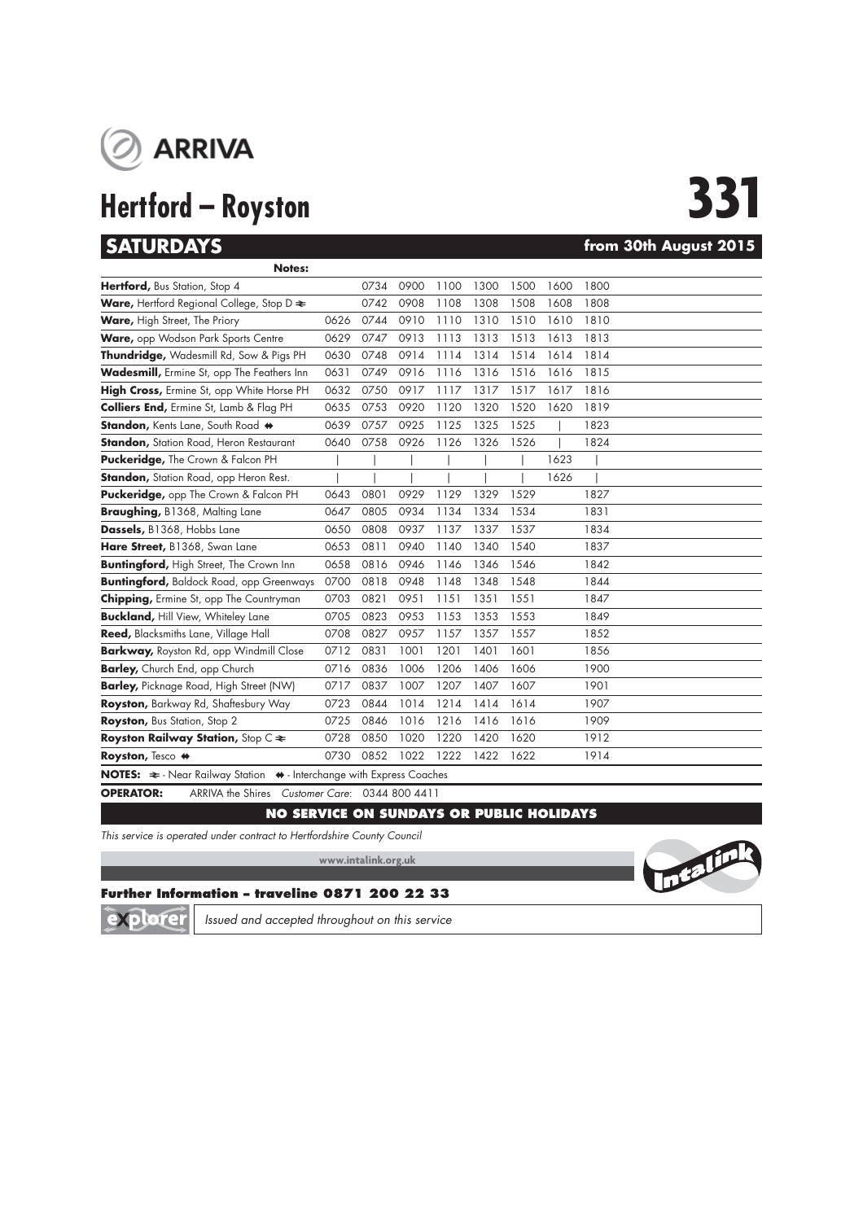

# **Hertford – Royston 331**

## **SATURDAYS from 30th August 2015**

| <b>Notes:</b>                                                                                |      |      |      |      |      |      |      |      |  |  |
|----------------------------------------------------------------------------------------------|------|------|------|------|------|------|------|------|--|--|
| Hertford, Bus Station, Stop 4                                                                |      | 0734 | 0900 | 1100 | 1300 | 1500 | 1600 | 1800 |  |  |
| <b>Ware, Hertford Regional College, Stop D <math>\approx</math></b>                          |      | 0742 | 0908 | 1108 | 1308 | 1508 | 1608 | 1808 |  |  |
| Ware, High Street, The Priory                                                                | 0626 | 0744 | 0910 | 1110 | 1310 | 1510 | 1610 | 1810 |  |  |
| Ware, opp Wodson Park Sports Centre                                                          | 0629 | 0747 | 0913 | 1113 | 1313 | 1513 | 1613 | 1813 |  |  |
| Thundridge, Wadesmill Rd, Sow & Pigs PH                                                      | 0630 | 0748 | 0914 | 1114 | 1314 | 1514 | 1614 | 1814 |  |  |
| <b>Wadesmill, Ermine St, opp The Feathers Inn</b>                                            | 0631 | 0749 | 0916 | 1116 | 1316 | 1516 | 1616 | 1815 |  |  |
| High Cross, Ermine St, opp White Horse PH                                                    | 0632 | 0750 | 0917 | 1117 | 1317 | 1517 | 1617 | 1816 |  |  |
| <b>Colliers End, Ermine St, Lamb &amp; Flag PH</b>                                           | 0635 | 0753 | 0920 | 1120 | 1320 | 1520 | 1620 | 1819 |  |  |
| Standon, Kents Lane, South Road +                                                            | 0639 | 0757 | 0925 | 1125 | 1325 | 1525 |      | 1823 |  |  |
| <b>Standon, Station Road, Heron Restaurant</b>                                               | 0640 | 0758 | 0926 | 1126 | 1326 | 1526 |      | 1824 |  |  |
| Puckeridge, The Crown & Falcon PH                                                            |      |      |      |      |      |      | 1623 |      |  |  |
| <b>Standon, Station Road, opp Heron Rest.</b>                                                |      |      |      |      |      |      | 1626 |      |  |  |
| Puckeridge, opp The Crown & Falcon PH                                                        | 0643 | 0801 | 0929 | 1129 | 1329 | 1529 |      | 1827 |  |  |
| Braughing, B1368, Malting Lane                                                               | 0647 | 0805 | 0934 | 1134 | 1334 | 1534 |      | 1831 |  |  |
| Dassels, B1368, Hobbs Lane                                                                   | 0650 | 0808 | 0937 | 1137 | 1337 | 1537 |      | 1834 |  |  |
| Hare Street, B1368, Swan Lane                                                                | 0653 | 0811 | 0940 | 1140 | 1340 | 1540 |      | 1837 |  |  |
| <b>Buntingford, High Street, The Crown Inn</b>                                               | 0658 | 0816 | 0946 | 1146 | 1346 | 1546 |      | 1842 |  |  |
| <b>Buntingford, Baldock Road, opp Greenways</b>                                              | 0700 | 0818 | 0948 | 1148 | 1348 | 1548 |      | 1844 |  |  |
| <b>Chipping, Ermine St, opp The Countryman</b>                                               | 0703 | 0821 | 0951 | 1151 | 1351 | 1551 |      | 1847 |  |  |
| <b>Buckland, Hill View, Whiteley Lane</b>                                                    | 0705 | 0823 | 0953 | 1153 | 1353 | 1553 |      | 1849 |  |  |
| Reed, Blacksmiths Lane, Village Hall                                                         | 0708 | 0827 | 0957 | 1157 | 1357 | 1557 |      | 1852 |  |  |
| <b>Barkway, Royston Rd, opp Windmill Close</b>                                               | 0712 | 0831 | 1001 | 1201 | 1401 | 1601 |      | 1856 |  |  |
| <b>Barley, Church End, opp Church</b>                                                        | 0716 | 0836 | 1006 | 1206 | 1406 | 1606 |      | 1900 |  |  |
| <b>Barley, Picknage Road, High Street (NW)</b>                                               | 0717 | 0837 | 1007 | 1207 | 1407 | 1607 |      | 1901 |  |  |
| Royston, Barkway Rd, Shaftesbury Way                                                         | 0723 | 0844 | 1014 | 1214 | 1414 | 1614 |      | 1907 |  |  |
| Royston, Bus Station, Stop 2                                                                 | 0725 | 0846 | 1016 | 1216 | 1416 | 1616 |      | 1909 |  |  |
| Royston Railway Station, Stop C $\approx$                                                    | 0728 | 0850 | 1020 | 1220 | 1420 | 1620 |      | 1912 |  |  |
| Royston, Tesco #                                                                             | 0730 | 0852 | 1022 | 1222 | 1422 | 1622 |      | 1914 |  |  |
| NOTES: $\approx$ - Near Railway Station $\leftrightarrow$ - Interchange with Express Coaches |      |      |      |      |      |      |      |      |  |  |

**OPERATOR:** ARRIVA the Shires *Customer Care*: 0344 800 4411

### **NO SERVICE ON SUNDAYS OR PUBLIC HOLIDAYS**

*This service is operated under contract to Hertfordshire County Council*

**www.intalink.org.uk**



### **Further Information – traveline 0871 200 22 33**

Ō lore *Issued and accepted throughout on this service*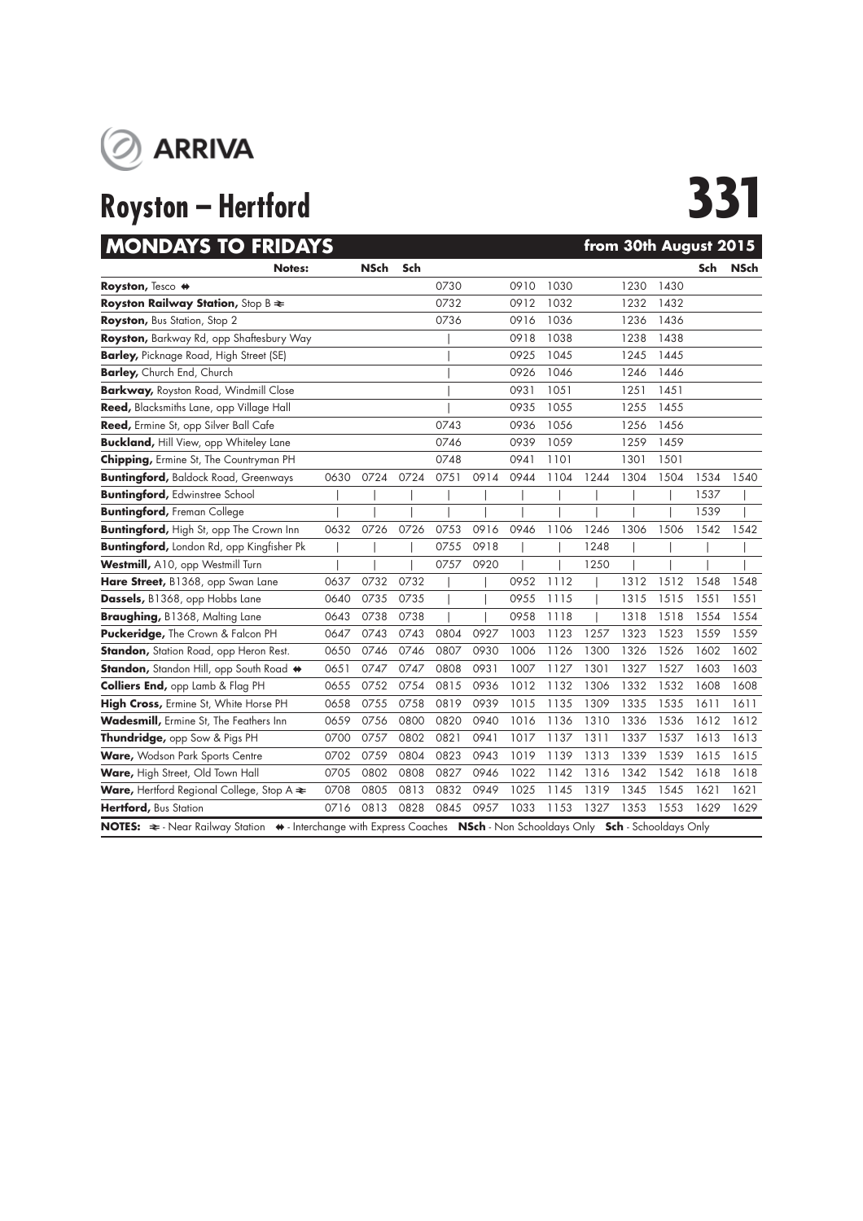

# **MONDAYS TO FRIDAYS** *CONSUMERS from 30th August 2015*

| INVINVAI 3 IV FRIVAI 3                                                                                                            |      |             |      |      |      |      |      |      | TIUM JUM AUGUST ZUTJ |      |      |             |
|-----------------------------------------------------------------------------------------------------------------------------------|------|-------------|------|------|------|------|------|------|----------------------|------|------|-------------|
| <b>Notes:</b>                                                                                                                     |      | <b>NSch</b> | Sch  |      |      |      |      |      |                      |      | Sch  | <b>NSch</b> |
| Royston, Tesco #                                                                                                                  |      |             |      | 0730 |      | 0910 | 1030 |      | 1230                 | 1430 |      |             |
| <b>Royston Railway Station, Stop B <math>\geq</math></b>                                                                          |      |             |      | 0732 |      | 0912 | 1032 |      | 1232                 | 1432 |      |             |
| Royston, Bus Station, Stop 2                                                                                                      |      |             |      | 0736 |      | 0916 | 1036 |      | 1236                 | 1436 |      |             |
| Royston, Barkway Rd, opp Shaftesbury Way                                                                                          |      |             |      |      |      | 0918 | 1038 |      | 1238                 | 1438 |      |             |
| <b>Barley, Picknage Road, High Street (SE)</b>                                                                                    |      |             |      |      |      | 0925 | 1045 |      | 1245                 | 1445 |      |             |
| Barley, Church End, Church                                                                                                        |      |             |      |      |      | 0926 | 1046 |      | 1246                 | 1446 |      |             |
| <b>Barkway, Royston Road, Windmill Close</b>                                                                                      |      |             |      |      |      | 0931 | 1051 |      | 1251                 | 1451 |      |             |
| Reed, Blacksmiths Lane, opp Village Hall                                                                                          |      |             |      |      |      | 0935 | 1055 |      | 1255                 | 1455 |      |             |
| Reed, Ermine St, opp Silver Ball Cafe                                                                                             |      |             |      | 0743 |      | 0936 | 1056 |      | 1256                 | 1456 |      |             |
| <b>Buckland, Hill View, opp Whiteley Lane</b>                                                                                     |      |             |      | 0746 |      | 0939 | 1059 |      | 1259                 | 1459 |      |             |
| <b>Chipping, Ermine St, The Countryman PH</b>                                                                                     |      |             |      | 0748 |      | 0941 | 1101 |      | 1301                 | 1501 |      |             |
| <b>Buntingford, Baldock Road, Greenways</b>                                                                                       | 0630 | 0724        | 0724 | 0751 | 0914 | 0944 | 1104 | 1244 | 1304                 | 1504 | 1534 | 1540        |
| <b>Buntingford, Edwinstree School</b>                                                                                             |      |             |      |      |      |      |      |      |                      |      | 1537 |             |
| <b>Buntingford, Freman College</b>                                                                                                |      |             |      |      |      |      |      |      |                      |      | 1539 |             |
| <b>Buntingford, High St, opp The Crown Inn</b>                                                                                    | 0632 | 0726        | 0726 | 0753 | 0916 | 0946 | 1106 | 1246 | 1306                 | 1506 | 1542 | 1542        |
| Buntingford, London Rd, opp Kingfisher Pk                                                                                         |      |             |      | 0755 | 0918 |      |      | 1248 |                      |      |      |             |
| Westmill, A10, opp Westmill Turn                                                                                                  |      |             |      | 0757 | 0920 |      |      | 1250 |                      |      |      |             |
| Hare Street, B1368, opp Swan Lane                                                                                                 | 0637 | 0732        | 0732 |      |      | 0952 | 1112 |      | 1312                 | 1512 | 1548 | 1548        |
| Dassels, B1368, opp Hobbs Lane                                                                                                    | 0640 | 0735        | 0735 |      |      | 0955 | 1115 |      | 1315                 | 1515 | 1551 | 1551        |
| Braughing, B1368, Malting Lane                                                                                                    | 0643 | 0738        | 0738 |      |      | 0958 | 1118 |      | 1318                 | 1518 | 1554 | 1554        |
| Puckeridge, The Crown & Falcon PH                                                                                                 | 0647 | 0743        | 0743 | 0804 | 0927 | 1003 | 1123 | 1257 | 1323                 | 1523 | 1559 | 1559        |
| Standon, Station Road, opp Heron Rest.                                                                                            | 0650 | 0746        | 0746 | 0807 | 0930 | 1006 | 1126 | 1300 | 1326                 | 1526 | 1602 | 1602        |
| Standon, Standon Hill, opp South Road +                                                                                           | 0651 | 0747        | 0747 | 0808 | 0931 | 1007 | 1127 | 1301 | 1327                 | 1527 | 1603 | 1603        |
| Colliers End, opp Lamb & Flag PH                                                                                                  | 0655 | 0752        | 0754 | 0815 | 0936 | 1012 | 1132 | 1306 | 1332                 | 1532 | 1608 | 1608        |
| High Cross, Ermine St, White Horse PH                                                                                             | 0658 | 0755        | 0758 | 0819 | 0939 | 1015 | 1135 | 1309 | 1335                 | 1535 | 1611 | 1611        |
| Wadesmill, Ermine St, The Feathers Inn                                                                                            | 0659 | 0756        | 0800 | 0820 | 0940 | 1016 | 1136 | 1310 | 1336                 | 1536 | 1612 | 1612        |
| Thundridge, opp Sow & Pigs PH                                                                                                     | 0700 | 0757        | 0802 | 0821 | 0941 | 1017 | 1137 | 1311 | 1337                 | 1537 | 1613 | 1613        |
| Ware, Wodson Park Sports Centre                                                                                                   | 0702 | 0759        | 0804 | 0823 | 0943 | 1019 | 1139 | 1313 | 1339                 | 1539 | 1615 | 1615        |
| Ware, High Street, Old Town Hall                                                                                                  | 0705 | 0802        | 0808 | 0827 | 0946 | 1022 | 1142 | 1316 | 1342                 | 1542 | 1618 | 1618        |
| Ware, Hertford Regional College, Stop A $\blacktriangleright$                                                                     | 0708 | 0805        | 0813 | 0832 | 0949 | 1025 | 1145 | 1319 | 1345                 | 1545 | 1621 | 1621        |
| Hertford, Bus Station                                                                                                             | 0716 | 0813        | 0828 | 0845 | 0957 | 1033 | 1153 | 1327 | 1353                 | 1553 | 1629 | 1629        |
| NOTES: $\Rightarrow$ - Near Railway Station → - Interchange with Express Coaches NSch - Non Schooldays Only Sch - Schooldays Only |      |             |      |      |      |      |      |      |                      |      |      |             |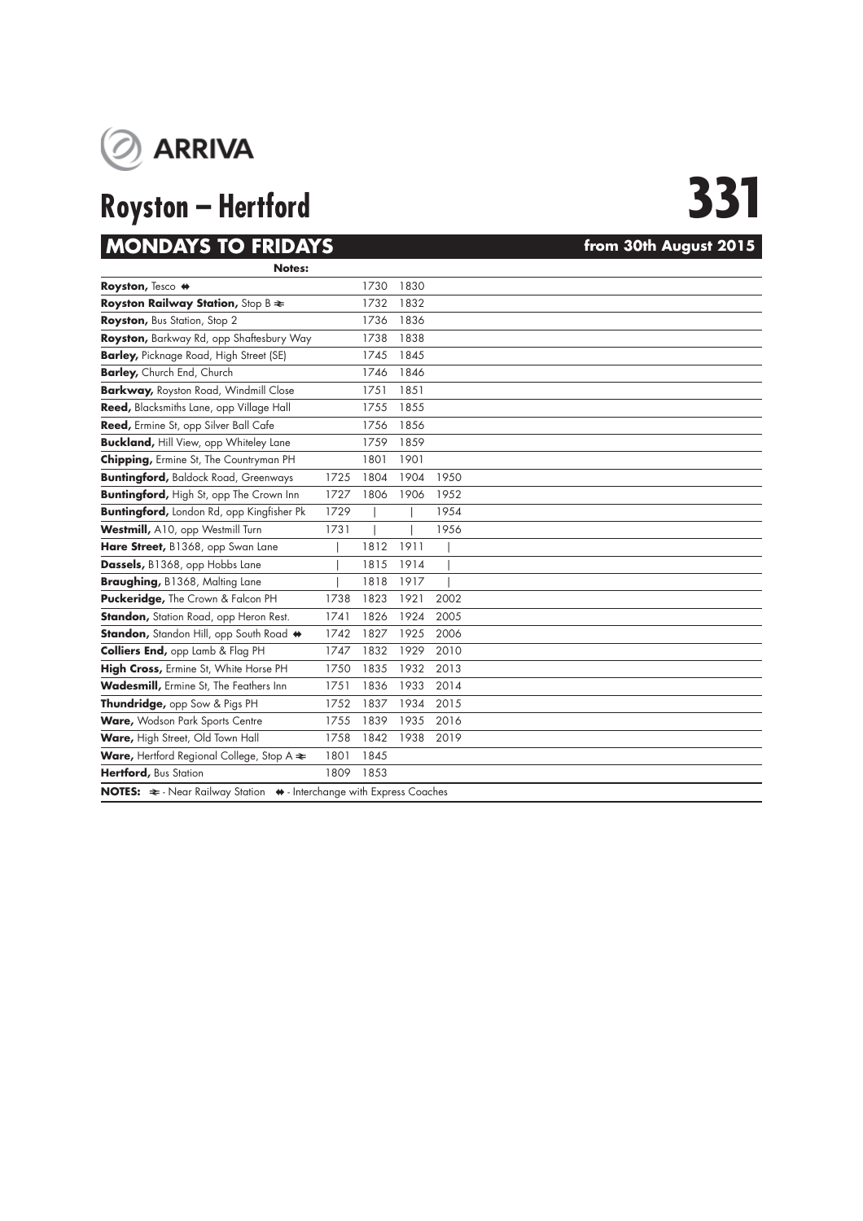

# **Royston – Hertford 331**

## **MONDAYS TO FRIDAYS** *MONDAYS html* **30th August 2015 Notes:**

| Royston, Tesco #                                                                                |      | 1730 | 1830 |      |  |
|-------------------------------------------------------------------------------------------------|------|------|------|------|--|
| Royston Railway Station, Stop B $\approx$                                                       |      | 1732 | 1832 |      |  |
| Royston, Bus Station, Stop 2                                                                    |      | 1736 | 1836 |      |  |
| Royston, Barkway Rd, opp Shaftesbury Way                                                        |      | 1738 | 1838 |      |  |
| <b>Barley, Picknage Road, High Street (SE)</b>                                                  |      | 1745 | 1845 |      |  |
| Barley, Church End, Church                                                                      |      | 1746 | 1846 |      |  |
| <b>Barkway, Royston Road, Windmill Close</b>                                                    |      | 1751 | 1851 |      |  |
| Reed, Blacksmiths Lane, opp Village Hall                                                        |      | 1755 | 1855 |      |  |
| Reed, Ermine St, opp Silver Ball Cafe                                                           |      | 1756 | 1856 |      |  |
| <b>Buckland, Hill View, opp Whiteley Lane</b>                                                   |      | 1759 | 1859 |      |  |
| Chipping, Ermine St, The Countryman PH                                                          |      | 1801 | 1901 |      |  |
| <b>Buntingford, Baldock Road, Greenways</b>                                                     | 1725 | 1804 | 1904 | 1950 |  |
| <b>Buntingford, High St, opp The Crown Inn</b>                                                  | 1727 | 1806 | 1906 | 1952 |  |
| <b>Buntingford, London Rd, opp Kingfisher Pk</b>                                                | 1729 |      |      | 1954 |  |
| Westmill, A10, opp Westmill Turn                                                                | 1731 |      |      | 1956 |  |
| Hare Street, B1368, opp Swan Lane                                                               |      | 1812 | 1911 |      |  |
| Dassels, B1368, opp Hobbs Lane                                                                  |      | 1815 | 1914 |      |  |
| Braughing, B1368, Malting Lane                                                                  |      | 1818 | 1917 |      |  |
| Puckeridge, The Crown & Falcon PH                                                               | 1738 | 1823 | 1921 | 2002 |  |
| <b>Standon, Station Road, opp Heron Rest.</b>                                                   | 1741 | 1826 | 1924 | 2005 |  |
| Standon, Standon Hill, opp South Road +                                                         | 1742 | 1827 | 1925 | 2006 |  |
| <b>Colliers End, opp Lamb &amp; Flag PH</b>                                                     | 1747 | 1832 | 1929 | 2010 |  |
| High Cross, Ermine St, White Horse PH                                                           | 1750 | 1835 | 1932 | 2013 |  |
| Wadesmill, Ermine St, The Feathers Inn                                                          | 1751 | 1836 | 1933 | 2014 |  |
| Thundridge, opp Sow & Pigs PH                                                                   | 1752 | 1837 | 1934 | 2015 |  |
| Ware, Wodson Park Sports Centre                                                                 | 1755 | 1839 | 1935 | 2016 |  |
| Ware, High Street, Old Town Hall                                                                | 1758 | 1842 | 1938 | 2019 |  |
| Ware, Hertford Regional College, Stop A $\blacktriangleright$                                   | 1801 | 1845 |      |      |  |
| Hertford, Bus Station                                                                           | 1809 | 1853 |      |      |  |
| NOTES: $\Leftarrow$ - Near Railway Station $\leftrightarrow$ - Interchange with Express Coaches |      |      |      |      |  |
|                                                                                                 |      |      |      |      |  |